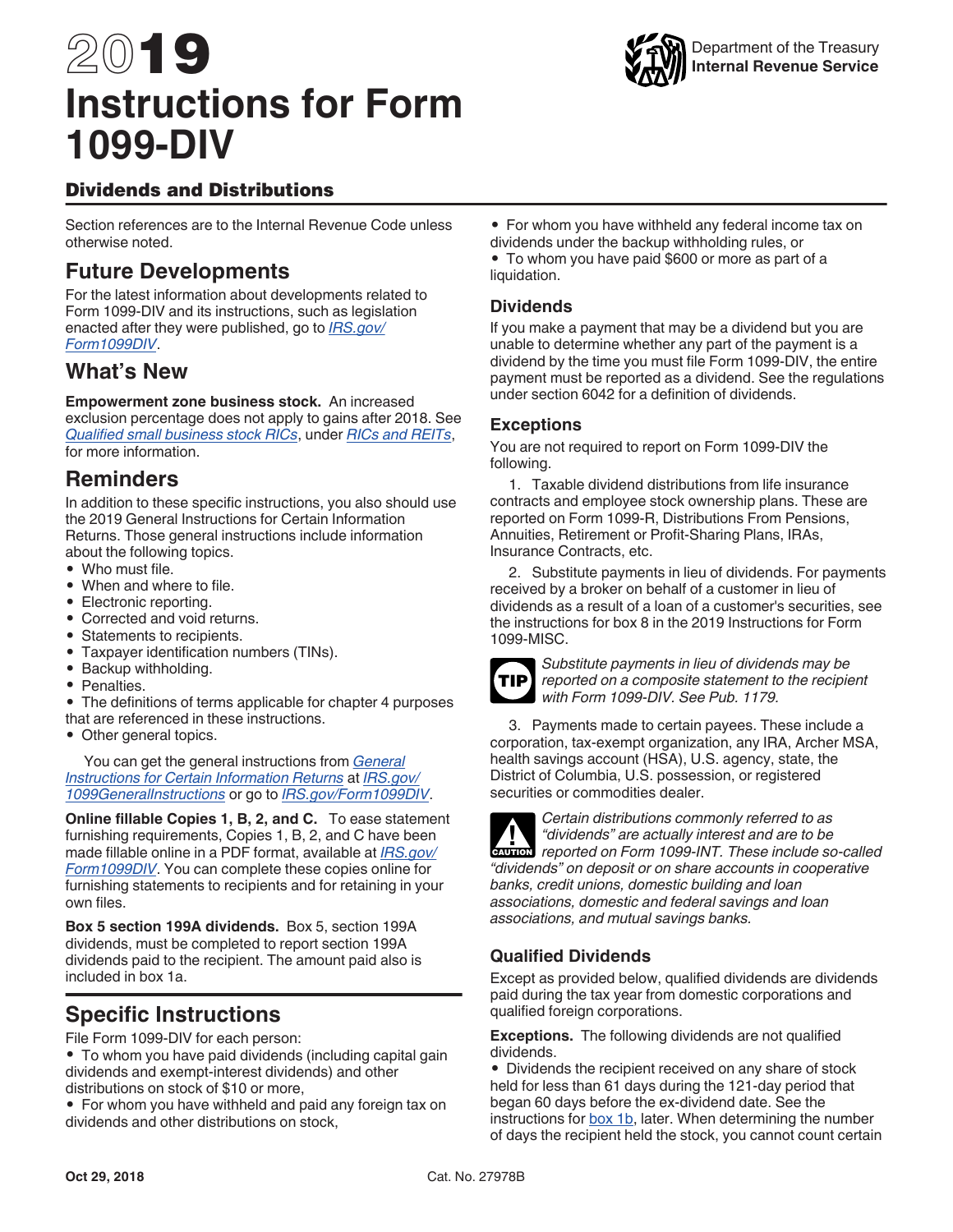# <span id="page-0-0"></span>2019 **Instructions for Form 1099-DIV**



# Dividends and Distributions

Section references are to the Internal Revenue Code unless otherwise noted.

# **Future Developments**

For the latest information about developments related to Form 1099-DIV and its instructions, such as legislation enacted after they were published, go to *[IRS.gov/](https://www.irs.gov/form1099div) [Form1099DIV](https://www.irs.gov/form1099div)*.

# **What's New**

**Empowerment zone business stock.** An increased exclusion percentage does not apply to gains after 2018. See *[Qualified small business stock RICs](#page-1-0)*, under *[RICs and REITs](#page-1-0)*, for more information.

# **Reminders**

In addition to these specific instructions, you also should use the 2019 General Instructions for Certain Information Returns. Those general instructions include information about the following topics.

- Who must file.
- When and where to file.
- Electronic reporting.
- Corrected and void returns.
- Statements to recipients.
- Taxpayer identification numbers (TINs).
- Backup withholding.
- Penalties.
- The definitions of terms applicable for chapter 4 purposes that are referenced in these instructions.
- Other general topics.

You can get the general instructions from *[General](https://www.irs.gov/uac/about-form-1099) [Instructions for Certain Information Returns](https://www.irs.gov/uac/about-form-1099)* at *[IRS.gov/](https://www.irs.gov/uac/about-form-1099) [1099GeneralInstructions](https://www.irs.gov/uac/about-form-1099)* or go to *[IRS.gov/Form1099DIV](https://www.irs.gov/form1099div)*.

**Online fillable Copies 1, B, 2, and C.** To ease statement furnishing requirements, Copies 1, B, 2, and C have been made fillable online in a PDF format, available at *[IRS.gov/](http://www.irs.gov/form1099div) [Form1099DIV](http://www.irs.gov/form1099div)*. You can complete these copies online for furnishing statements to recipients and for retaining in your own files.

**Box 5 section 199A dividends.** Box 5, section 199A dividends, must be completed to report section 199A dividends paid to the recipient. The amount paid also is included in box 1a.

# **Specific Instructions**

File Form 1099-DIV for each person:

- To whom you have paid dividends (including capital gain dividends and exempt-interest dividends) and other distributions on stock of \$10 or more,
- For whom you have withheld and paid any foreign tax on dividends and other distributions on stock,

• For whom you have withheld any federal income tax on dividends under the backup withholding rules, or • To whom you have paid \$600 or more as part of a liquidation.

# **Dividends**

If you make a payment that may be a dividend but you are unable to determine whether any part of the payment is a dividend by the time you must file Form 1099-DIV, the entire payment must be reported as a dividend. See the regulations under section 6042 for a definition of dividends.

#### **Exceptions**

You are not required to report on Form 1099-DIV the following.

1. Taxable dividend distributions from life insurance contracts and employee stock ownership plans. These are reported on Form 1099-R, Distributions From Pensions, Annuities, Retirement or Profit-Sharing Plans, IRAs, Insurance Contracts, etc.

2. Substitute payments in lieu of dividends. For payments received by a broker on behalf of a customer in lieu of dividends as a result of a loan of a customer's securities, see the instructions for box 8 in the 2019 Instructions for Form 1099-MISC.



*Substitute payments in lieu of dividends may be reported on a composite statement to the recipient with Form 1099-DIV. See Pub. 1179.*

3. Payments made to certain payees. These include a corporation, tax-exempt organization, any IRA, Archer MSA, health savings account (HSA), U.S. agency, state, the District of Columbia, U.S. possession, or registered securities or commodities dealer.

*Certain distributions commonly referred to as "dividends" are actually interest and are to be*   $r$ <sup>*redividends"* are actually interest and are to be reported on Form 1099-INT. These include so-called</sup> *"dividends" on deposit or on share accounts in cooperative banks, credit unions, domestic building and loan associations, domestic and federal savings and loan associations, and mutual savings banks.*

# **Qualified Dividends**

Except as provided below, qualified dividends are dividends paid during the tax year from domestic corporations and qualified foreign corporations.

**Exceptions.** The following dividends are not qualified dividends.

• Dividends the recipient received on any share of stock held for less than 61 days during the 121-day period that began 60 days before the ex-dividend date. See the instructions for [box 1b,](#page-3-0) later. When determining the number of days the recipient held the stock, you cannot count certain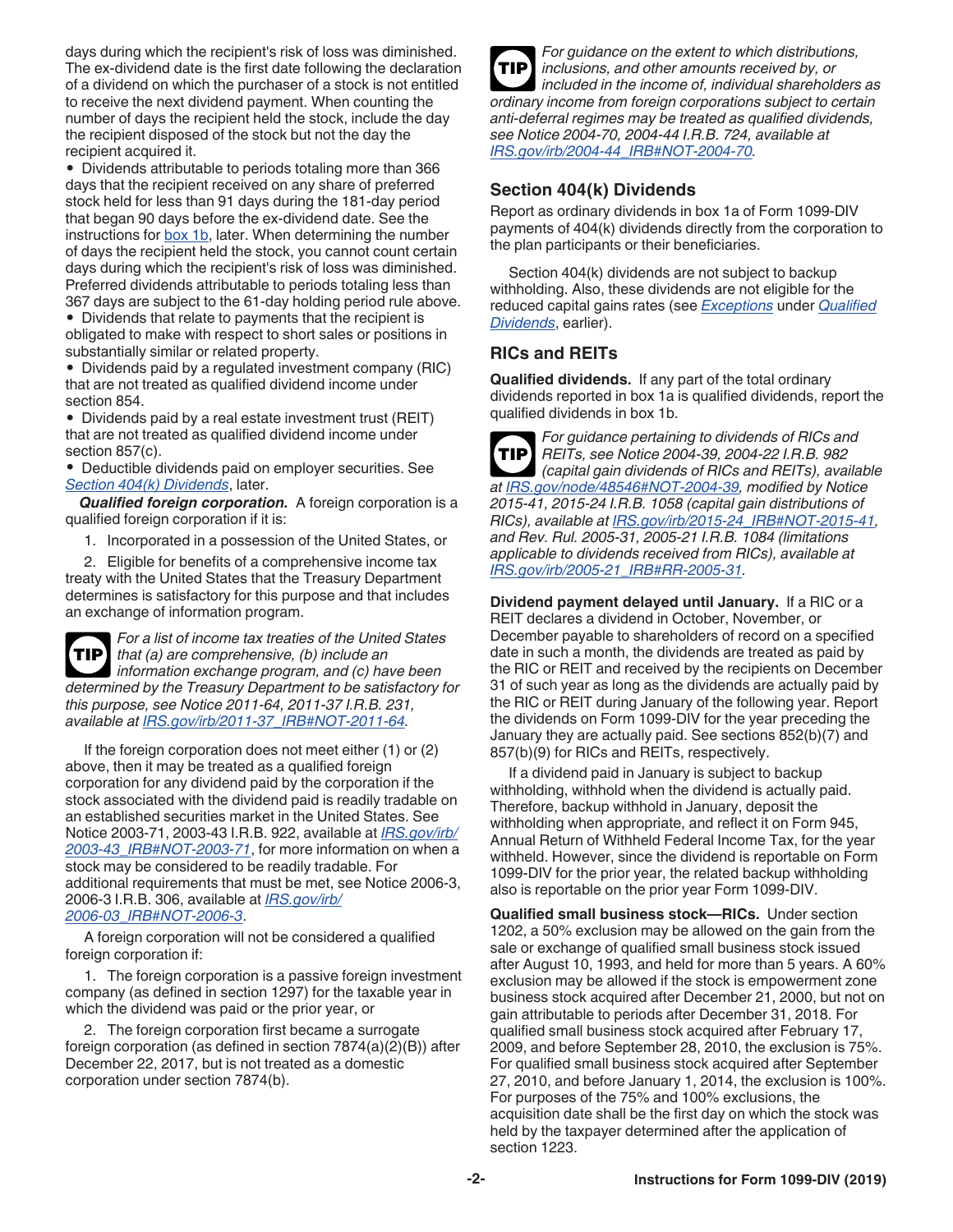<span id="page-1-0"></span>days during which the recipient's risk of loss was diminished. The ex-dividend date is the first date following the declaration of a dividend on which the purchaser of a stock is not entitled to receive the next dividend payment. When counting the number of days the recipient held the stock, include the day the recipient disposed of the stock but not the day the recipient acquired it.

• Dividends attributable to periods totaling more than 366 days that the recipient received on any share of preferred stock held for less than 91 days during the 181-day period that began 90 days before the ex-dividend date. See the instructions for [box 1b,](#page-3-0) later. When determining the number of days the recipient held the stock, you cannot count certain days during which the recipient's risk of loss was diminished. Preferred dividends attributable to periods totaling less than 367 days are subject to the 61-day holding period rule above.

• Dividends that relate to payments that the recipient is obligated to make with respect to short sales or positions in substantially similar or related property.

• Dividends paid by a regulated investment company (RIC) that are not treated as qualified dividend income under section 854.

• Dividends paid by a real estate investment trust (REIT) that are not treated as qualified dividend income under section 857(c).

• Deductible dividends paid on employer securities. See *Section 404(k) Dividends*, later.

*Qualified foreign corporation.* A foreign corporation is a qualified foreign corporation if it is:

1. Incorporated in a possession of the United States, or

2. Eligible for benefits of a comprehensive income tax treaty with the United States that the Treasury Department determines is satisfactory for this purpose and that includes an exchange of information program.

*For a list of income tax treaties of the United States that (a) are comprehensive, (b) include an information exchange program, and (c) have been determined by the Treasury Department to be satisfactory for this purpose, see Notice 2011-64, 2011-37 I.R.B. 231, available at [IRS.gov/irb/2011-37\\_IRB#NOT-2011-64](https://www.irs.gov/irb/2011-37_IRB#NOT-2011-64).* **TIP**

If the foreign corporation does not meet either (1) or (2) above, then it may be treated as a qualified foreign corporation for any dividend paid by the corporation if the stock associated with the dividend paid is readily tradable on an established securities market in the United States. See Notice 2003-71, 2003-43 I.R.B. 922, available at *[IRS.gov/irb/](https://www.irs.gov/irb/2003-43_IRB#NOT-2003-71) [2003-43\\_IRB#NOT-2003-71](https://www.irs.gov/irb/2003-43_IRB#NOT-2003-71)*, for more information on when a stock may be considered to be readily tradable. For additional requirements that must be met, see Notice 2006-3, 2006-3 I.R.B. 306, available at *[IRS.gov/irb/](https://www.irs.gov/irb/2006-03_IRB#NOT-2006-3) [2006-03\\_IRB#NOT-2006-3](https://www.irs.gov/irb/2006-03_IRB#NOT-2006-3)*.

A foreign corporation will not be considered a qualified foreign corporation if:

1. The foreign corporation is a passive foreign investment company (as defined in section 1297) for the taxable year in which the dividend was paid or the prior year, or

2. The foreign corporation first became a surrogate foreign corporation (as defined in section 7874(a)(2)(B)) after December 22, 2017, but is not treated as a domestic corporation under section 7874(b).

*For guidance on the extent to which distributions, inclusions, and other amounts received by, or included in the income of, individual shareholders as ordinary income from foreign corporations subject to certain anti-deferral regimes may be treated as qualified dividends, see Notice 2004-70, 2004-44 I.R.B. 724, available at [IRS.gov/irb/2004-44\\_IRB#NOT-2004-70](https://www.irs.gov/irb/2004-44_IRB#NOT-2004-70).* **TIP**

#### **Section 404(k) Dividends**

Report as ordinary dividends in box 1a of Form 1099-DIV payments of 404(k) dividends directly from the corporation to the plan participants or their beneficiaries.

Section 404(k) dividends are not subject to backup withholding. Also, these dividends are not eligible for the reduced capital gains rates (see *[Exceptions](#page-0-0)* under *[Qualified](#page-0-0) [Dividends](#page-0-0)*, earlier).

# **RICs and REITs**

**Qualified dividends.** If any part of the total ordinary dividends reported in box 1a is qualified dividends, report the qualified dividends in box 1b.

*For guidance pertaining to dividends of RICs and REITs, see Notice 2004-39, 2004-22 I.R.B. 982 (capital gain dividends of RICs and REITs), available at [IRS.gov/node/48546#NOT-2004-39](https://www.irs.gov/node/48546#NOT-2004-39), modified by Notice 2015-41, 2015-24 I.R.B. 1058 (capital gain distributions of RICs), available at [IRS.gov/irb/2015-24\\_IRB#NOT-2015-41](https://www.irs.gov/irb/2015-24_IRB#NOT-2015-41), and Rev. Rul. 2005-31, 2005-21 I.R.B. 1084 (limitations applicable to dividends received from RICs), available at [IRS.gov/irb/2005-21\\_IRB#RR-2005-31.](https://www.irs.gov/irb/2005-21_IRB#RR-2005-31)* **TIP**

**Dividend payment delayed until January.** If a RIC or a REIT declares a dividend in October, November, or December payable to shareholders of record on a specified date in such a month, the dividends are treated as paid by the RIC or REIT and received by the recipients on December 31 of such year as long as the dividends are actually paid by the RIC or REIT during January of the following year. Report the dividends on Form 1099-DIV for the year preceding the January they are actually paid. See sections 852(b)(7) and 857(b)(9) for RICs and REITs, respectively.

If a dividend paid in January is subject to backup withholding, withhold when the dividend is actually paid. Therefore, backup withhold in January, deposit the withholding when appropriate, and reflect it on Form 945, Annual Return of Withheld Federal Income Tax, for the year withheld. However, since the dividend is reportable on Form 1099-DIV for the prior year, the related backup withholding also is reportable on the prior year Form 1099-DIV.

**Qualified small business stock—RICs.** Under section 1202, a 50% exclusion may be allowed on the gain from the sale or exchange of qualified small business stock issued after August 10, 1993, and held for more than 5 years. A 60% exclusion may be allowed if the stock is empowerment zone business stock acquired after December 21, 2000, but not on gain attributable to periods after December 31, 2018. For qualified small business stock acquired after February 17, 2009, and before September 28, 2010, the exclusion is 75%. For qualified small business stock acquired after September 27, 2010, and before January 1, 2014, the exclusion is 100%. For purposes of the 75% and 100% exclusions, the acquisition date shall be the first day on which the stock was held by the taxpayer determined after the application of section 1223.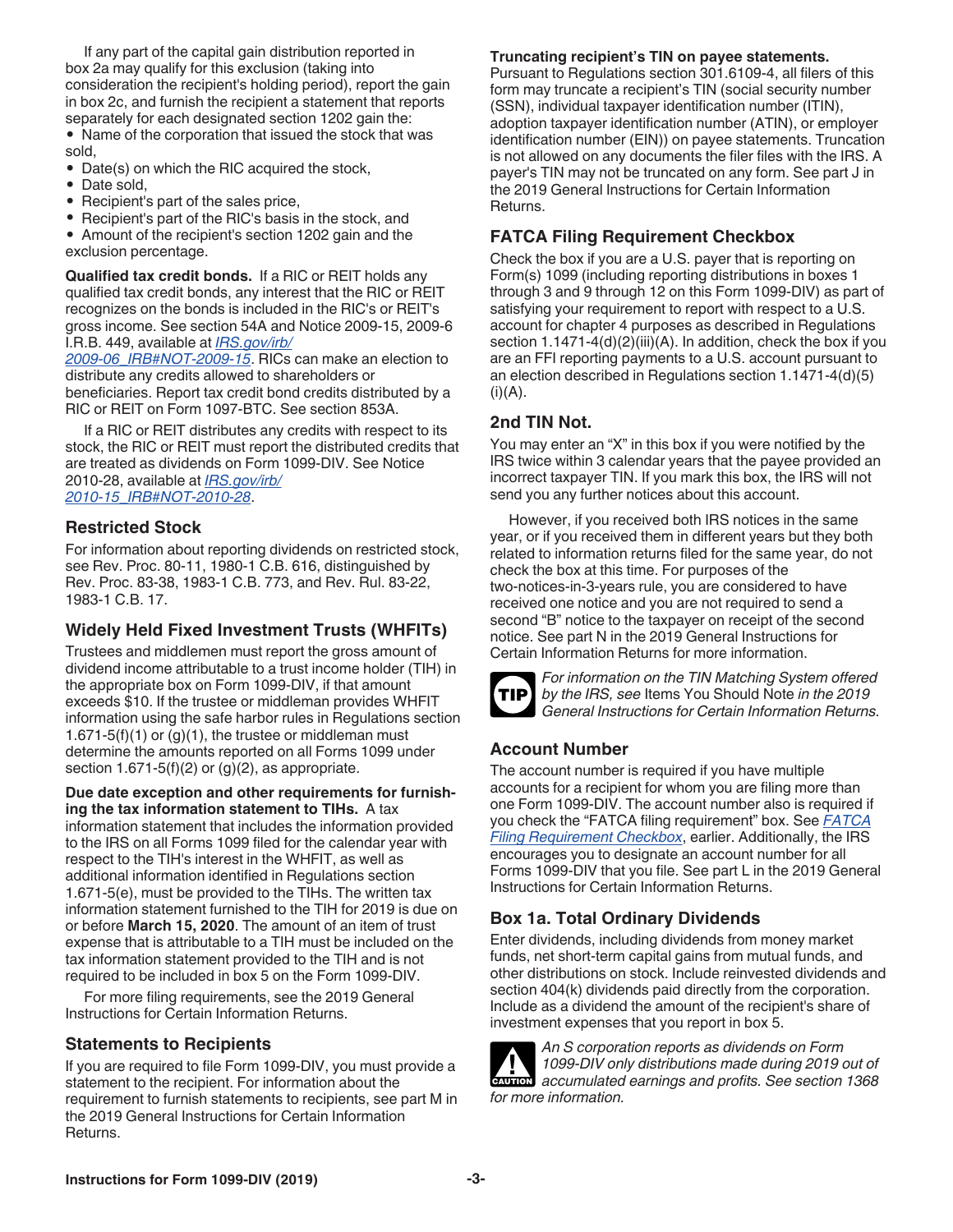If any part of the capital gain distribution reported in box 2a may qualify for this exclusion (taking into consideration the recipient's holding period), report the gain in box 2c, and furnish the recipient a statement that reports separately for each designated section 1202 gain the:

• Name of the corporation that issued the stock that was sold,

• Date(s) on which the RIC acquired the stock,

- Date sold,
- Recipient's part of the sales price,
- Recipient's part of the RIC's basis in the stock, and
- Amount of the recipient's section 1202 gain and the exclusion percentage.

**Qualified tax credit bonds.** If a RIC or REIT holds any qualified tax credit bonds, any interest that the RIC or REIT recognizes on the bonds is included in the RIC's or REIT's gross income. See section 54A and Notice 2009-15, 2009-6 I.R.B. 449, available at *[IRS.gov/irb/](https://www.irs.gov/irb/2009-06_IRB#NOT-2009-15)*

*[2009-06\\_IRB#NOT-2009-15](https://www.irs.gov/irb/2009-06_IRB#NOT-2009-15)*. RICs can make an election to distribute any credits allowed to shareholders or beneficiaries. Report tax credit bond credits distributed by a RIC or REIT on Form 1097-BTC. See section 853A.

If a RIC or REIT distributes any credits with respect to its stock, the RIC or REIT must report the distributed credits that are treated as dividends on Form 1099-DIV. See Notice 2010-28, available at *[IRS.gov/irb/](https://www.irs.gov/irb/2010-15_IRB#NOT-2010-28) [2010-15\\_IRB#NOT-2010-28](https://www.irs.gov/irb/2010-15_IRB#NOT-2010-28)*.

#### **Restricted Stock**

For information about reporting dividends on restricted stock, see Rev. Proc. 80-11, 1980-1 C.B. 616, distinguished by Rev. Proc. 83-38, 1983-1 C.B. 773, and Rev. Rul. 83-22, 1983-1 C.B. 17.

# **Widely Held Fixed Investment Trusts (WHFITs)**

Trustees and middlemen must report the gross amount of dividend income attributable to a trust income holder (TIH) in the appropriate box on Form 1099-DIV, if that amount exceeds \$10. If the trustee or middleman provides WHFIT information using the safe harbor rules in Regulations section 1.671-5(f)(1) or  $(g)(1)$ , the trustee or middleman must determine the amounts reported on all Forms 1099 under section  $1.671-5(f)(2)$  or  $(g)(2)$ , as appropriate.

**Due date exception and other requirements for furnishing the tax information statement to TIHs.** A tax information statement that includes the information provided to the IRS on all Forms 1099 filed for the calendar year with respect to the TIH's interest in the WHFIT, as well as additional information identified in Regulations section 1.671-5(e), must be provided to the TIHs. The written tax information statement furnished to the TIH for 2019 is due on or before **March 15, 2020**. The amount of an item of trust expense that is attributable to a TIH must be included on the tax information statement provided to the TIH and is not required to be included in box 5 on the Form 1099-DIV.

For more filing requirements, see the 2019 General Instructions for Certain Information Returns.

# **Statements to Recipients**

If you are required to file Form 1099-DIV, you must provide a statement to the recipient. For information about the requirement to furnish statements to recipients, see part M in the 2019 General Instructions for Certain Information Returns.

#### **Truncating recipient's TIN on payee statements.**

Pursuant to Regulations section 301.6109-4, all filers of this form may truncate a recipient's TIN (social security number (SSN), individual taxpayer identification number (ITIN), adoption taxpayer identification number (ATIN), or employer identification number (EIN)) on payee statements. Truncation is not allowed on any documents the filer files with the IRS. A payer's TIN may not be truncated on any form. See part J in the 2019 General Instructions for Certain Information Returns.

### **FATCA Filing Requirement Checkbox**

Check the box if you are a U.S. payer that is reporting on Form(s) 1099 (including reporting distributions in boxes 1 through 3 and 9 through 12 on this Form 1099-DIV) as part of satisfying your requirement to report with respect to a U.S. account for chapter 4 purposes as described in Regulations section 1.1471-4(d)(2)(iii)(A). In addition, check the box if you are an FFI reporting payments to a U.S. account pursuant to an election described in Regulations section 1.1471-4(d)(5)  $(i)(A)$ .

# **2nd TIN Not.**

You may enter an "X" in this box if you were notified by the IRS twice within 3 calendar years that the payee provided an incorrect taxpayer TIN. If you mark this box, the IRS will not send you any further notices about this account.

However, if you received both IRS notices in the same year, or if you received them in different years but they both related to information returns filed for the same year, do not check the box at this time. For purposes of the two-notices-in-3-years rule, you are considered to have received one notice and you are not required to send a second "B" notice to the taxpayer on receipt of the second notice. See part N in the 2019 General Instructions for Certain Information Returns for more information.



*For information on the TIN Matching System offered by the IRS, see* Items You Should Note *in the 2019 General Instructions for Certain Information Returns.*

# **Account Number**

The account number is required if you have multiple accounts for a recipient for whom you are filing more than one Form 1099-DIV. The account number also is required if you check the "FATCA filing requirement" box. See *FATCA Filing Requirement Checkbox*, earlier. Additionally, the IRS encourages you to designate an account number for all Forms 1099-DIV that you file. See part L in the 2019 General Instructions for Certain Information Returns.

# **Box 1a. Total Ordinary Dividends**

Enter dividends, including dividends from money market funds, net short-term capital gains from mutual funds, and other distributions on stock. Include reinvested dividends and section 404(k) dividends paid directly from the corporation. Include as a dividend the amount of the recipient's share of investment expenses that you report in box 5.